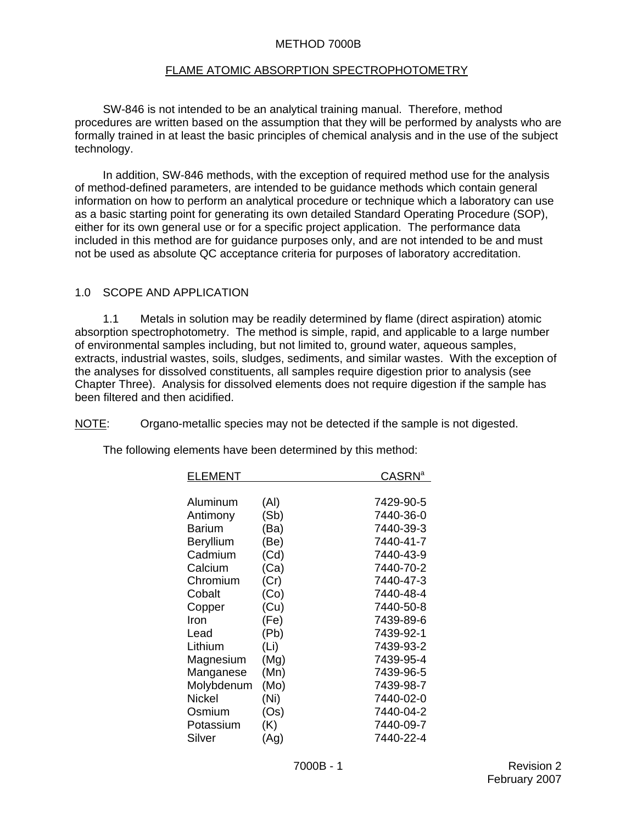#### METHOD 7000B

#### FLAME ATOMIC ABSORPTION SPECTROPHOTOMETRY

 SW-846 is not intended to be an analytical training manual. Therefore, method procedures are written based on the assumption that they will be performed by analysts who are formally trained in at least the basic principles of chemical analysis and in the use of the subject technology.

In addition, SW-846 methods, with the exception of required method use for the analysis of method-defined parameters, are intended to be guidance methods which contain general information on how to perform an analytical procedure or technique which a laboratory can use as a basic starting point for generating its own detailed Standard Operating Procedure (SOP), either for its own general use or for a specific project application. The performance data included in this method are for guidance purposes only, and are not intended to be and must not be used as absolute QC acceptance criteria for purposes of laboratory accreditation.

#### 1.0 SCOPE AND APPLICATION

1.1 Metals in solution may be readily determined by flame (direct aspiration) atomic absorption spectrophotometry. The method is simple, rapid, and applicable to a large number of environmental samples including, but not limited to, ground water, aqueous samples, extracts, industrial wastes, soils, sludges, sediments, and similar wastes. With the exception of the analyses for dissolved constituents, all samples require digestion prior to analysis (see Chapter Three). Analysis for dissolved elements does not require digestion if the sample has been filtered and then acidified.

NOTE: Organo-metallic species may not be detected if the sample is not digested.

| ELEMENT    |      | $\mathsf{CASRN}^{\mathsf{a}}$ |
|------------|------|-------------------------------|
|            |      |                               |
| Aluminum   | (AI) | 7429-90-5                     |
| Antimony   | (Sb) | 7440-36-0                     |
| Barium     | (Ba) | 7440-39-3                     |
| Beryllium  | (Be) | 7440-41-7                     |
| Cadmium    | (Cd) | 7440-43-9                     |
| Calcium    | (Ca) | 7440-70-2                     |
| Chromium   | (Cr) | 7440-47-3                     |
| Cobalt     | (Co) | 7440-48-4                     |
| Copper     | (Cu) | 7440-50-8                     |
| Iron       | (Fe) | 7439-89-6                     |
| Lead       | (Pb) | 7439-92-1                     |
| Lithium    | (Li) | 7439-93-2                     |
| Magnesium  | (Mg) | 7439-95-4                     |
| Manganese  | (Mn) | 7439-96-5                     |
| Molybdenum | (Mo) | 7439-98-7                     |
| Nickel     | (Ni) | 7440-02-0                     |
| Osmium     | (Os) | 7440-04-2                     |
| Potassium  | (K)  | 7440-09-7                     |
| Silver     | (Ag) | 7440-22-4                     |

The following elements have been determined by this method: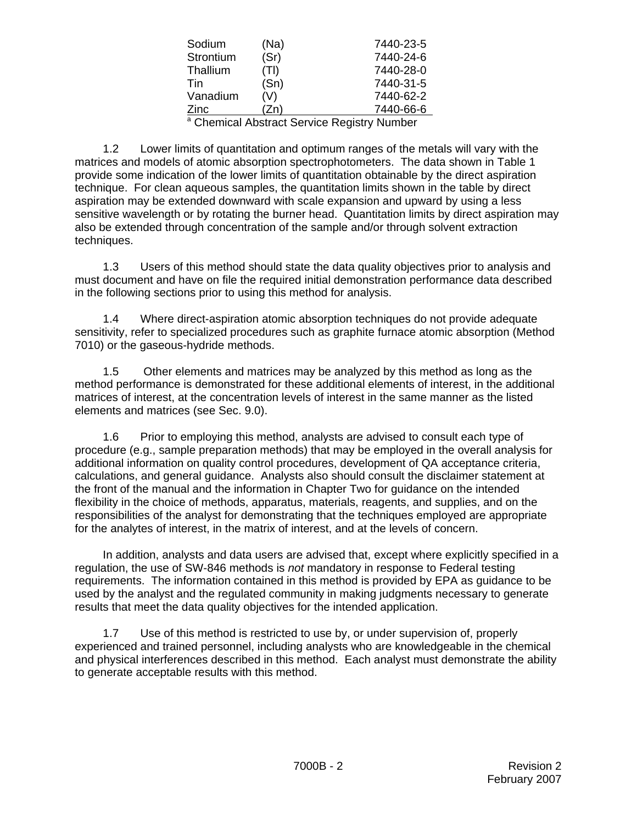| Sodium    | (Na) | 7440-23-5 |
|-----------|------|-----------|
| Strontium | (Sr) | 7440-24-6 |
| Thallium  | (TI) | 7440-28-0 |
| Tin       | (Sn) | 7440-31-5 |
| Vanadium  | (V)  | 7440-62-2 |
| Zinc      | (Zn  | 7440-66-6 |
| <u>. </u> |      |           |

<sup>a</sup> Chemical Abstract Service Registry Number

1.2 Lower limits of quantitation and optimum ranges of the metals will vary with the matrices and models of atomic absorption spectrophotometers. The data shown in Table 1 provide some indication of the lower limits of quantitation obtainable by the direct aspiration technique. For clean aqueous samples, the quantitation limits shown in the table by direct aspiration may be extended downward with scale expansion and upward by using a less sensitive wavelength or by rotating the burner head. Quantitation limits by direct aspiration may also be extended through concentration of the sample and/or through solvent extraction techniques.

1.3 Users of this method should state the data quality objectives prior to analysis and must document and have on file the required initial demonstration performance data described in the following sections prior to using this method for analysis.

1.4 Where direct-aspiration atomic absorption techniques do not provide adequate sensitivity, refer to specialized procedures such as graphite furnace atomic absorption (Method 7010) or the gaseous-hydride methods.

1.5 Other elements and matrices may be analyzed by this method as long as the method performance is demonstrated for these additional elements of interest, in the additional matrices of interest, at the concentration levels of interest in the same manner as the listed elements and matrices (see Sec. 9.0).

1.6 Prior to employing this method, analysts are advised to consult each type of procedure (e.g., sample preparation methods) that may be employed in the overall analysis for additional information on quality control procedures, development of QA acceptance criteria, calculations, and general guidance. Analysts also should consult the disclaimer statement at the front of the manual and the information in Chapter Two for guidance on the intended flexibility in the choice of methods, apparatus, materials, reagents, and supplies, and on the responsibilities of the analyst for demonstrating that the techniques employed are appropriate for the analytes of interest, in the matrix of interest, and at the levels of concern.

In addition, analysts and data users are advised that, except where explicitly specified in a regulation, the use of SW-846 methods is *not* mandatory in response to Federal testing requirements. The information contained in this method is provided by EPA as guidance to be used by the analyst and the regulated community in making judgments necessary to generate results that meet the data quality objectives for the intended application.

1.7 Use of this method is restricted to use by, or under supervision of, properly experienced and trained personnel, including analysts who are knowledgeable in the chemical and physical interferences described in this method. Each analyst must demonstrate the ability to generate acceptable results with this method.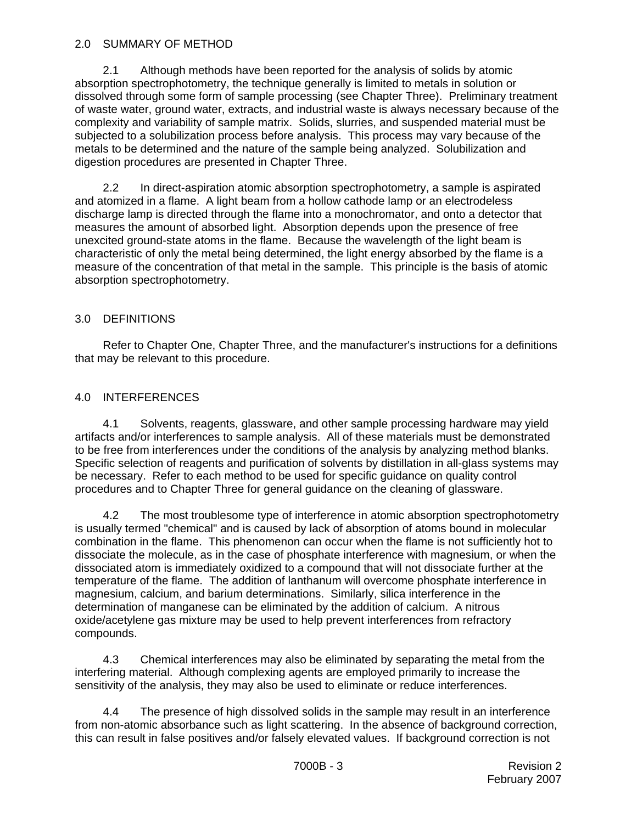#### 2.0 SUMMARY OF METHOD

2.1 Although methods have been reported for the analysis of solids by atomic absorption spectrophotometry, the technique generally is limited to metals in solution or dissolved through some form of sample processing (see Chapter Three). Preliminary treatment of waste water, ground water, extracts, and industrial waste is always necessary because of the complexity and variability of sample matrix. Solids, slurries, and suspended material must be subjected to a solubilization process before analysis. This process may vary because of the metals to be determined and the nature of the sample being analyzed. Solubilization and digestion procedures are presented in Chapter Three.

2.2 In direct-aspiration atomic absorption spectrophotometry, a sample is aspirated and atomized in a flame. A light beam from a hollow cathode lamp or an electrodeless discharge lamp is directed through the flame into a monochromator, and onto a detector that measures the amount of absorbed light. Absorption depends upon the presence of free unexcited ground-state atoms in the flame. Because the wavelength of the light beam is characteristic of only the metal being determined, the light energy absorbed by the flame is a measure of the concentration of that metal in the sample. This principle is the basis of atomic absorption spectrophotometry.

## 3.0 DEFINITIONS

Refer to Chapter One, Chapter Three, and the manufacturer's instructions for a definitions that may be relevant to this procedure.

# 4.0 INTERFERENCES

4.1 Solvents, reagents, glassware, and other sample processing hardware may yield artifacts and/or interferences to sample analysis. All of these materials must be demonstrated to be free from interferences under the conditions of the analysis by analyzing method blanks. Specific selection of reagents and purification of solvents by distillation in all-glass systems may be necessary. Refer to each method to be used for specific guidance on quality control procedures and to Chapter Three for general guidance on the cleaning of glassware.

4.2 The most troublesome type of interference in atomic absorption spectrophotometry is usually termed "chemical" and is caused by lack of absorption of atoms bound in molecular combination in the flame. This phenomenon can occur when the flame is not sufficiently hot to dissociate the molecule, as in the case of phosphate interference with magnesium, or when the dissociated atom is immediately oxidized to a compound that will not dissociate further at the temperature of the flame. The addition of lanthanum will overcome phosphate interference in magnesium, calcium, and barium determinations. Similarly, silica interference in the determination of manganese can be eliminated by the addition of calcium. A nitrous oxide/acetylene gas mixture may be used to help prevent interferences from refractory compounds.

4.3 Chemical interferences may also be eliminated by separating the metal from the interfering material. Although complexing agents are employed primarily to increase the sensitivity of the analysis, they may also be used to eliminate or reduce interferences.

4.4 The presence of high dissolved solids in the sample may result in an interference from non-atomic absorbance such as light scattering. In the absence of background correction, this can result in false positives and/or falsely elevated values. If background correction is not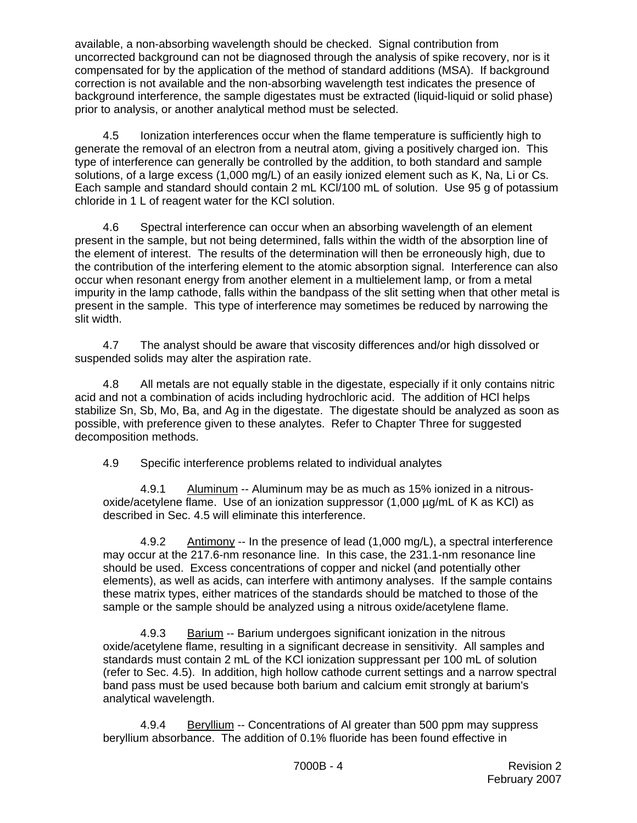available, a non-absorbing wavelength should be checked. Signal contribution from uncorrected background can not be diagnosed through the analysis of spike recovery, nor is it compensated for by the application of the method of standard additions (MSA). If background correction is not available and the non-absorbing wavelength test indicates the presence of background interference, the sample digestates must be extracted (liquid-liquid or solid phase) prior to analysis, or another analytical method must be selected.

4.5 Ionization interferences occur when the flame temperature is sufficiently high to generate the removal of an electron from a neutral atom, giving a positively charged ion. This type of interference can generally be controlled by the addition, to both standard and sample solutions, of a large excess (1,000 mg/L) of an easily ionized element such as K, Na, Li or Cs. Each sample and standard should contain 2 mL KCl/100 mL of solution. Use 95 g of potassium chloride in 1 L of reagent water for the KCl solution.

4.6 Spectral interference can occur when an absorbing wavelength of an element present in the sample, but not being determined, falls within the width of the absorption line of the element of interest. The results of the determination will then be erroneously high, due to the contribution of the interfering element to the atomic absorption signal. Interference can also occur when resonant energy from another element in a multielement lamp, or from a metal impurity in the lamp cathode, falls within the bandpass of the slit setting when that other metal is present in the sample. This type of interference may sometimes be reduced by narrowing the slit width.

4.7 The analyst should be aware that viscosity differences and/or high dissolved or suspended solids may alter the aspiration rate.

4.8 All metals are not equally stable in the digestate, especially if it only contains nitric acid and not a combination of acids including hydrochloric acid. The addition of HCl helps stabilize Sn, Sb, Mo, Ba, and Ag in the digestate. The digestate should be analyzed as soon as possible, with preference given to these analytes. Refer to Chapter Three for suggested decomposition methods.

4.9 Specific interference problems related to individual analytes

4.9.1 Aluminum -- Aluminum may be as much as 15% ionized in a nitrousoxide/acetylene flame. Use of an ionization suppressor (1,000 µg/mL of K as KCl) as described in Sec. 4.5 will eliminate this interference.

4.9.2 Antimony -- In the presence of lead (1,000 mg/L), a spectral interference may occur at the 217.6-nm resonance line. In this case, the 231.1-nm resonance line should be used. Excess concentrations of copper and nickel (and potentially other elements), as well as acids, can interfere with antimony analyses. If the sample contains these matrix types, either matrices of the standards should be matched to those of the sample or the sample should be analyzed using a nitrous oxide/acetylene flame.

4.9.3 Barium -- Barium undergoes significant ionization in the nitrous oxide/acetylene flame, resulting in a significant decrease in sensitivity. All samples and standards must contain 2 mL of the KCl ionization suppressant per 100 mL of solution (refer to Sec. 4.5). In addition, high hollow cathode current settings and a narrow spectral band pass must be used because both barium and calcium emit strongly at barium's analytical wavelength.

4.9.4 Beryllium -- Concentrations of AI greater than 500 ppm may suppress beryllium absorbance. The addition of 0.1% fluoride has been found effective in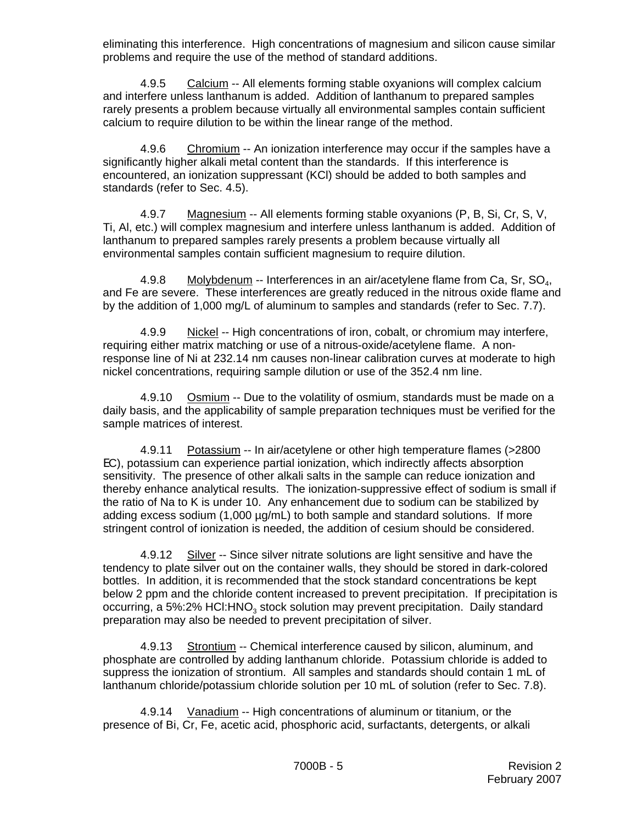eliminating this interference. High concentrations of magnesium and silicon cause similar problems and require the use of the method of standard additions.

4.9.5 Calcium -- All elements forming stable oxyanions will complex calcium and interfere unless lanthanum is added. Addition of lanthanum to prepared samples rarely presents a problem because virtually all environmental samples contain sufficient calcium to require dilution to be within the linear range of the method.

4.9.6 Chromium -- An ionization interference may occur if the samples have a significantly higher alkali metal content than the standards. If this interference is encountered, an ionization suppressant (KCl) should be added to both samples and standards (refer to Sec. 4.5).

4.9.7 Magnesium -- All elements forming stable oxyanions (P, B, Si, Cr, S, V, Ti, Al, etc.) will complex magnesium and interfere unless lanthanum is added. Addition of lanthanum to prepared samples rarely presents a problem because virtually all environmental samples contain sufficient magnesium to require dilution.

4.9.8 Molybdenum -- Interferences in an air/acetylene flame from Ca, Sr,  $SO_4$ , and Fe are severe. These interferences are greatly reduced in the nitrous oxide flame and by the addition of 1,000 mg/L of aluminum to samples and standards (refer to Sec. 7.7).

4.9.9 Nickel -- High concentrations of iron, cobalt, or chromium may interfere, requiring either matrix matching or use of a nitrous-oxide/acetylene flame. A nonresponse line of Ni at 232.14 nm causes non-linear calibration curves at moderate to high nickel concentrations, requiring sample dilution or use of the 352.4 nm line.

4.9.10 Osmium -- Due to the volatility of osmium, standards must be made on a daily basis, and the applicability of sample preparation techniques must be verified for the sample matrices of interest.

4.9.11 Potassium -- In air/acetylene or other high temperature flames (>2800 EC), potassium can experience partial ionization, which indirectly affects absorption sensitivity. The presence of other alkali salts in the sample can reduce ionization and thereby enhance analytical results. The ionization-suppressive effect of sodium is small if the ratio of Na to K is under 10. Any enhancement due to sodium can be stabilized by adding excess sodium (1,000 µg/mL) to both sample and standard solutions. If more stringent control of ionization is needed, the addition of cesium should be considered.

4.9.12 Silver -- Since silver nitrate solutions are light sensitive and have the tendency to plate silver out on the container walls, they should be stored in dark-colored bottles. In addition, it is recommended that the stock standard concentrations be kept below 2 ppm and the chloride content increased to prevent precipitation. If precipitation is occurring, a 5%:2% HCI: HNO<sub>3</sub> stock solution may prevent precipitation. Daily standard preparation may also be needed to prevent precipitation of silver.

4.9.13 Strontium -- Chemical interference caused by silicon, aluminum, and phosphate are controlled by adding lanthanum chloride. Potassium chloride is added to suppress the ionization of strontium. All samples and standards should contain 1 mL of lanthanum chloride/potassium chloride solution per 10 mL of solution (refer to Sec. 7.8).

4.9.14 Vanadium -- High concentrations of aluminum or titanium, or the presence of Bi, Cr, Fe, acetic acid, phosphoric acid, surfactants, detergents, or alkali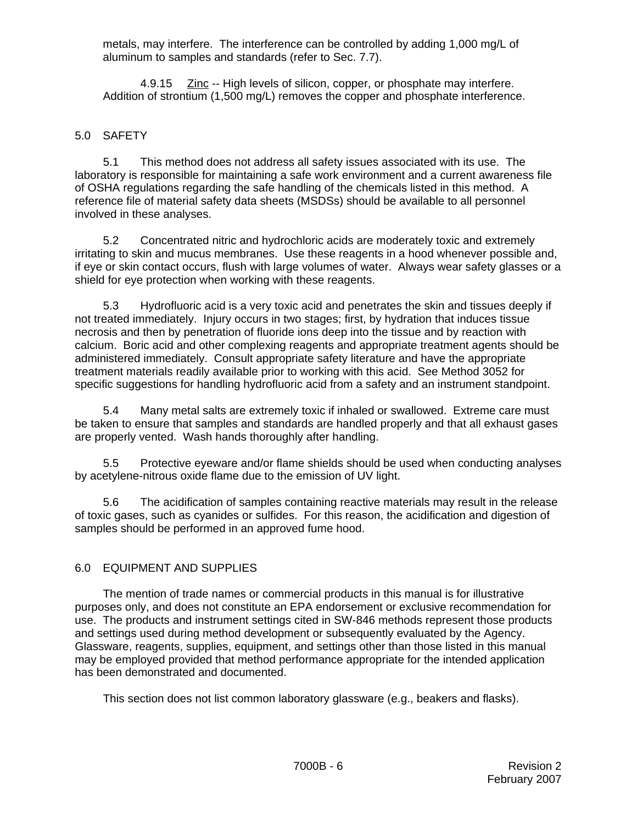metals, may interfere. The interference can be controlled by adding 1,000 mg/L of aluminum to samples and standards (refer to Sec. 7.7).

4.9.15 Zinc -- High levels of silicon, copper, or phosphate may interfere. Addition of strontium (1,500 mg/L) removes the copper and phosphate interference.

#### 5.0 SAFETY

5.1 This method does not address all safety issues associated with its use. The laboratory is responsible for maintaining a safe work environment and a current awareness file of OSHA regulations regarding the safe handling of the chemicals listed in this method. A reference file of material safety data sheets (MSDSs) should be available to all personnel involved in these analyses.

5.2 Concentrated nitric and hydrochloric acids are moderately toxic and extremely irritating to skin and mucus membranes. Use these reagents in a hood whenever possible and, if eye or skin contact occurs, flush with large volumes of water. Always wear safety glasses or a shield for eye protection when working with these reagents.

5.3 Hydrofluoric acid is a very toxic acid and penetrates the skin and tissues deeply if not treated immediately. Injury occurs in two stages; first, by hydration that induces tissue necrosis and then by penetration of fluoride ions deep into the tissue and by reaction with calcium. Boric acid and other complexing reagents and appropriate treatment agents should be administered immediately. Consult appropriate safety literature and have the appropriate treatment materials readily available prior to working with this acid. See Method 3052 for specific suggestions for handling hydrofluoric acid from a safety and an instrument standpoint.

5.4 Many metal salts are extremely toxic if inhaled or swallowed. Extreme care must be taken to ensure that samples and standards are handled properly and that all exhaust gases are properly vented. Wash hands thoroughly after handling.

5.5 Protective eyeware and/or flame shields should be used when conducting analyses by acetylene-nitrous oxide flame due to the emission of UV light.

5.6 The acidification of samples containing reactive materials may result in the release of toxic gases, such as cyanides or sulfides. For this reason, the acidification and digestion of samples should be performed in an approved fume hood.

## 6.0 EQUIPMENT AND SUPPLIES

The mention of trade names or commercial products in this manual is for illustrative purposes only, and does not constitute an EPA endorsement or exclusive recommendation for use. The products and instrument settings cited in SW-846 methods represent those products and settings used during method development or subsequently evaluated by the Agency. Glassware, reagents, supplies, equipment, and settings other than those listed in this manual may be employed provided that method performance appropriate for the intended application has been demonstrated and documented.

This section does not list common laboratory glassware (e.g., beakers and flasks).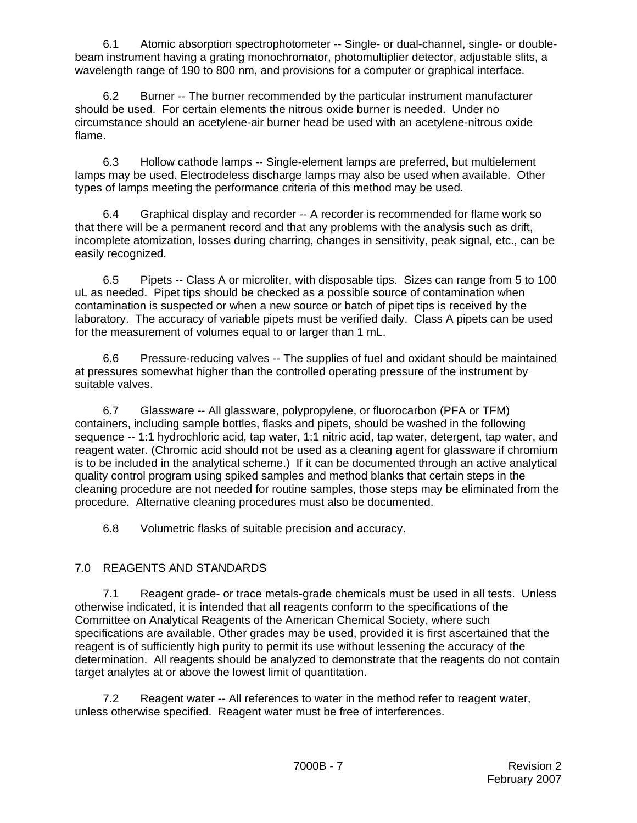6.1 Atomic absorption spectrophotometer -- Single- or dual-channel, single- or doublebeam instrument having a grating monochromator, photomultiplier detector, adjustable slits, a wavelength range of 190 to 800 nm, and provisions for a computer or graphical interface.

6.2 Burner -- The burner recommended by the particular instrument manufacturer should be used. For certain elements the nitrous oxide burner is needed. Under no circumstance should an acetylene-air burner head be used with an acetylene-nitrous oxide flame.

6.3 Hollow cathode lamps -- Single-element lamps are preferred, but multielement lamps may be used. Electrodeless discharge lamps may also be used when available. Other types of lamps meeting the performance criteria of this method may be used.

6.4 Graphical display and recorder -- A recorder is recommended for flame work so that there will be a permanent record and that any problems with the analysis such as drift, incomplete atomization, losses during charring, changes in sensitivity, peak signal, etc., can be easily recognized.

6.5 Pipets -- Class A or microliter, with disposable tips. Sizes can range from 5 to 100 uL as needed. Pipet tips should be checked as a possible source of contamination when contamination is suspected or when a new source or batch of pipet tips is received by the laboratory. The accuracy of variable pipets must be verified daily. Class A pipets can be used for the measurement of volumes equal to or larger than 1 mL.

6.6 Pressure-reducing valves -- The supplies of fuel and oxidant should be maintained at pressures somewhat higher than the controlled operating pressure of the instrument by suitable valves.

6.7 Glassware -- All glassware, polypropylene, or fluorocarbon (PFA or TFM) containers, including sample bottles, flasks and pipets, should be washed in the following sequence -- 1:1 hydrochloric acid, tap water, 1:1 nitric acid, tap water, detergent, tap water, and reagent water. (Chromic acid should not be used as a cleaning agent for glassware if chromium is to be included in the analytical scheme.) If it can be documented through an active analytical quality control program using spiked samples and method blanks that certain steps in the cleaning procedure are not needed for routine samples, those steps may be eliminated from the procedure. Alternative cleaning procedures must also be documented.

6.8 Volumetric flasks of suitable precision and accuracy.

# 7.0 REAGENTS AND STANDARDS

7.1 Reagent grade- or trace metals-grade chemicals must be used in all tests. Unless otherwise indicated, it is intended that all reagents conform to the specifications of the Committee on Analytical Reagents of the American Chemical Society, where such specifications are available. Other grades may be used, provided it is first ascertained that the reagent is of sufficiently high purity to permit its use without lessening the accuracy of the determination. All reagents should be analyzed to demonstrate that the reagents do not contain target analytes at or above the lowest limit of quantitation.

7.2 Reagent water -- All references to water in the method refer to reagent water, unless otherwise specified. Reagent water must be free of interferences.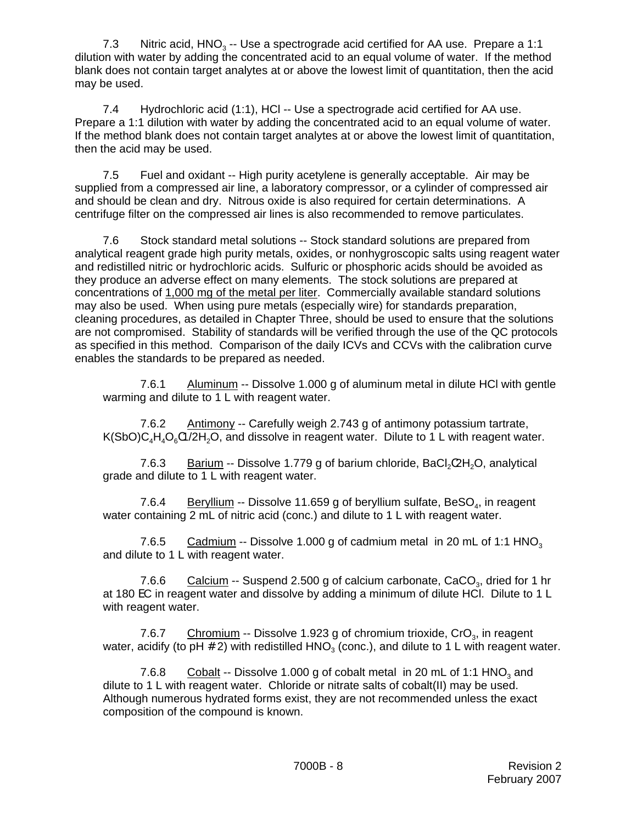7.3 Nitric acid,  $HNO<sub>3</sub> - Use a spectrograde acid certified for AA use. Prepare a 1:1$ dilution with water by adding the concentrated acid to an equal volume of water. If the method blank does not contain target analytes at or above the lowest limit of quantitation, then the acid may be used.

7.4 Hydrochloric acid (1:1), HCl -- Use a spectrograde acid certified for AA use. Prepare a 1:1 dilution with water by adding the concentrated acid to an equal volume of water. If the method blank does not contain target analytes at or above the lowest limit of quantitation, then the acid may be used.

7.5 Fuel and oxidant -- High purity acetylene is generally acceptable. Air may be supplied from a compressed air line, a laboratory compressor, or a cylinder of compressed air and should be clean and dry. Nitrous oxide is also required for certain determinations. A centrifuge filter on the compressed air lines is also recommended to remove particulates.

7.6 Stock standard metal solutions -- Stock standard solutions are prepared from analytical reagent grade high purity metals, oxides, or nonhygroscopic salts using reagent water and redistilled nitric or hydrochloric acids. Sulfuric or phosphoric acids should be avoided as they produce an adverse effect on many elements. The stock solutions are prepared at concentrations of 1,000 mg of the metal per liter. Commercially available standard solutions may also be used. When using pure metals (especially wire) for standards preparation, cleaning procedures, as detailed in Chapter Three, should be used to ensure that the solutions are not compromised. Stability of standards will be verified through the use of the QC protocols as specified in this method. Comparison of the daily ICVs and CCVs with the calibration curve enables the standards to be prepared as needed.

7.6.1 Aluminum -- Dissolve 1.000 g of aluminum metal in dilute HCl with gentle warming and dilute to 1 L with reagent water.

7.6.2 Antimony -- Carefully weigh 2.743 g of antimony potassium tartrate,  $K(SbO)C<sub>a</sub>H<sub>a</sub>O<sub>e</sub>C1/2H<sub>2</sub>O$ , and dissolve in reagent water. Dilute to 1 L with reagent water.

7.6.3 Barium -- Dissolve 1.779 g of barium chloride, BaCl<sub>2</sub> $2H_2O$ , analytical grade and dilute to 1 L with reagent water.

7.6.4 Beryllium -- Dissolve 11.659 g of beryllium sulfate, BeSO<sub>4</sub>, in reagent water containing 2 mL of nitric acid (conc.) and dilute to 1 L with reagent water.

7.6.5 Cadmium -- Dissolve 1.000 g of cadmium metal in 20 mL of 1:1 HNO<sub>3</sub> and dilute to 1 L with reagent water.

7.6.6 Calcium -- Suspend 2.500 g of calcium carbonate, CaCO<sub>3</sub>, dried for 1 hr at 180 EC in reagent water and dissolve by adding a minimum of dilute HCl. Dilute to 1 L with reagent water.

7.6.7 Chromium -- Dissolve 1.923 g of chromium trioxide,  $CrO<sub>3</sub>$ , in reagent water, acidify (to pH  $#$  2) with redistilled HNO<sub>3</sub> (conc.), and dilute to 1 L with reagent water.

7.6.8 Cobalt -- Dissolve 1.000 g of cobalt metal in 20 mL of 1:1 HNO<sub>3</sub> and dilute to 1 L with reagent water. Chloride or nitrate salts of cobalt(II) may be used. Although numerous hydrated forms exist, they are not recommended unless the exact composition of the compound is known.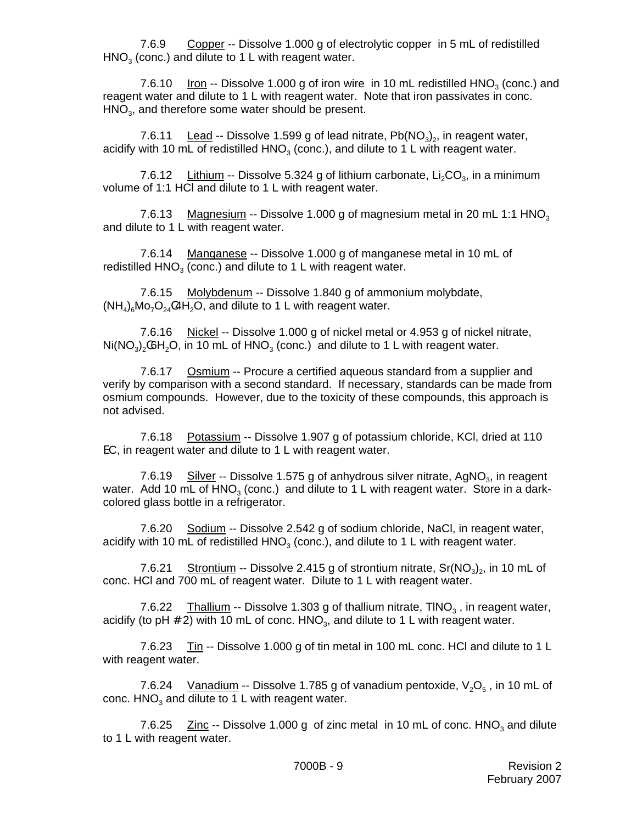7.6.9 Copper -- Dissolve 1.000 g of electrolytic copper in 5 mL of redistilled  $HNO<sub>3</sub>$  (conc.) and dilute to 1 L with reagent water.

7.6.10 Iron -- Dissolve 1.000 g of iron wire in 10 mL redistilled  $HNO<sub>3</sub>$  (conc.) and reagent water and dilute to 1 L with reagent water. Note that iron passivates in conc.  $HNO<sub>3</sub>$ , and therefore some water should be present.

7.6.11 Lead -- Dissolve 1.599 g of lead nitrate,  $Pb(NO<sub>3</sub>)<sub>2</sub>$ , in reagent water, acidify with 10 mL of redistilled  $HNO<sub>3</sub>$  (conc.), and dilute to 1 L with reagent water.

7.6.12 Lithium -- Dissolve 5.324 g of lithium carbonate,  $Li_2CO_3$ , in a minimum volume of 1:1 HCl and dilute to 1 L with reagent water.

7.6.13 Magnesium -- Dissolve 1.000 g of magnesium metal in 20 mL 1:1 HNO<sub>3</sub> and dilute to 1 L with reagent water.

7.6.14 Manganese -- Dissolve 1.000 g of manganese metal in 10 mL of redistilled  $HNO<sub>3</sub>$  (conc.) and dilute to 1 L with reagent water.

7.6.15 Molybdenum -- Dissolve 1.840 g of ammonium molybdate,  $(NH_4)_{6}$ Mo<sub>7</sub>O<sub>24</sub> $(4H_2O)_{7}$  and dilute to 1 L with reagent water.

7.6.16 Nickel -- Dissolve 1.000 g of nickel metal or 4.953 g of nickel nitrate,  $Ni(NO<sub>3</sub>)(OH<sub>2</sub>O)$ , in 10 mL of  $HNO<sub>3</sub>$  (conc.) and dilute to 1 L with reagent water.

7.6.17 Osmium -- Procure a certified aqueous standard from a supplier and verify by comparison with a second standard. If necessary, standards can be made from osmium compounds. However, due to the toxicity of these compounds, this approach is not advised.

7.6.18 Potassium -- Dissolve 1.907 g of potassium chloride, KCl, dried at 110 EC, in reagent water and dilute to 1 L with reagent water.

7.6.19 Silver -- Dissolve 1.575 g of anhydrous silver nitrate,  $AqNO<sub>3</sub>$ , in reagent water. Add 10 mL of  $HNO<sub>3</sub>$  (conc.) and dilute to 1 L with reagent water. Store in a darkcolored glass bottle in a refrigerator.

7.6.20 Sodium -- Dissolve 2.542 g of sodium chloride, NaCl, in reagent water, acidify with 10 mL of redistilled  $HNO<sub>3</sub>$  (conc.), and dilute to 1 L with reagent water.

7.6.21 Strontium -- Dissolve 2.415 g of strontium nitrate,  $Sr(NO<sub>3</sub>)<sub>2</sub>$ , in 10 mL of conc. HCl and 700 mL of reagent water. Dilute to 1 L with reagent water.

7.6.22 Thallium -- Dissolve 1.303 g of thallium nitrate,  $TINO_3$ , in reagent water, acidify (to pH  $\#$  2) with 10 mL of conc. HNO<sub>3</sub>, and dilute to 1 L with reagent water.

7.6.23 Tin -- Dissolve 1.000 g of tin metal in 100 mL conc. HCl and dilute to 1 L with reagent water.

7.6.24 Vanadium -- Dissolve 1.785 g of vanadium pentoxide,  $V_2O_5$ , in 10 mL of conc.  $HNO<sub>3</sub>$  and dilute to 1 L with reagent water.

7.6.25  $\text{Zinc}$  -- Dissolve 1.000 g of zinc metal in 10 mL of conc. HNO<sub>3</sub> and dilute to 1 L with reagent water.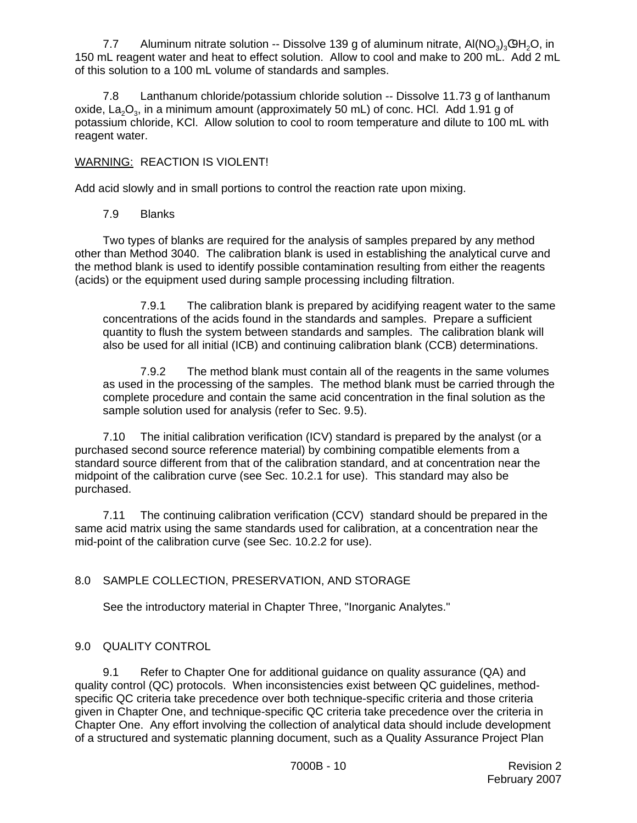7.7 Aluminum nitrate solution -- Dissolve 139 g of aluminum nitrate,  $AI(NO<sub>3</sub>)<sub>3</sub>QH<sub>2</sub>O$ , in 150 mL reagent water and heat to effect solution. Allow to cool and make to 200 mL. Add 2 mL of this solution to a 100 mL volume of standards and samples.

7.8 Lanthanum chloride/potassium chloride solution -- Dissolve 11.73 g of lanthanum oxide, La<sub>3</sub>O<sub>3</sub>, in a minimum amount (approximately 50 mL) of conc. HCl. Add 1.91 g of potassium chloride, KCl. Allow solution to cool to room temperature and dilute to 100 mL with reagent water.

#### WARNING: REACTION IS VIOLENT!

Add acid slowly and in small portions to control the reaction rate upon mixing.

7.9 Blanks

Two types of blanks are required for the analysis of samples prepared by any method other than Method 3040. The calibration blank is used in establishing the analytical curve and the method blank is used to identify possible contamination resulting from either the reagents (acids) or the equipment used during sample processing including filtration.

7.9.1 The calibration blank is prepared by acidifying reagent water to the same concentrations of the acids found in the standards and samples. Prepare a sufficient quantity to flush the system between standards and samples. The calibration blank will also be used for all initial (ICB) and continuing calibration blank (CCB) determinations.

7.9.2 The method blank must contain all of the reagents in the same volumes as used in the processing of the samples. The method blank must be carried through the complete procedure and contain the same acid concentration in the final solution as the sample solution used for analysis (refer to Sec. 9.5).

7.10 The initial calibration verification (ICV) standard is prepared by the analyst (or a purchased second source reference material) by combining compatible elements from a standard source different from that of the calibration standard, and at concentration near the midpoint of the calibration curve (see Sec. 10.2.1 for use). This standard may also be purchased.

7.11 The continuing calibration verification (CCV) standard should be prepared in the same acid matrix using the same standards used for calibration, at a concentration near the mid-point of the calibration curve (see Sec. 10.2.2 for use).

## 8.0 SAMPLE COLLECTION, PRESERVATION, AND STORAGE

See the introductory material in Chapter Three, "Inorganic Analytes."

## 9.0 QUALITY CONTROL

9.1 Refer to Chapter One for additional guidance on quality assurance (QA) and quality control (QC) protocols. When inconsistencies exist between QC guidelines, methodspecific QC criteria take precedence over both technique-specific criteria and those criteria given in Chapter One, and technique-specific QC criteria take precedence over the criteria in Chapter One. Any effort involving the collection of analytical data should include development of a structured and systematic planning document, such as a Quality Assurance Project Plan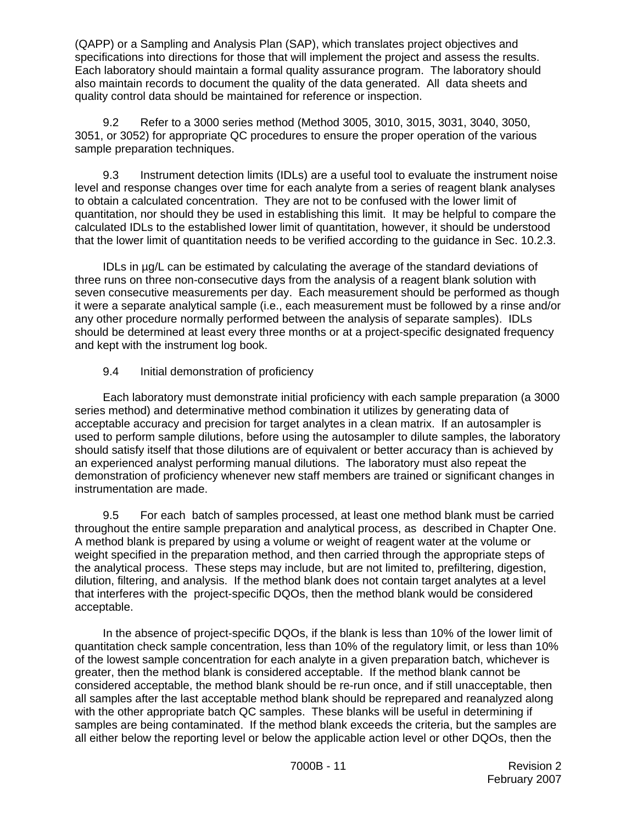(QAPP) or a Sampling and Analysis Plan (SAP), which translates project objectives and specifications into directions for those that will implement the project and assess the results. Each laboratory should maintain a formal quality assurance program. The laboratory should also maintain records to document the quality of the data generated. All data sheets and quality control data should be maintained for reference or inspection.

9.2 Refer to a 3000 series method (Method 3005, 3010, 3015, 3031, 3040, 3050, 3051, or 3052) for appropriate QC procedures to ensure the proper operation of the various sample preparation techniques.

9.3 Instrument detection limits (IDLs) are a useful tool to evaluate the instrument noise level and response changes over time for each analyte from a series of reagent blank analyses to obtain a calculated concentration. They are not to be confused with the lower limit of quantitation, nor should they be used in establishing this limit. It may be helpful to compare the calculated IDLs to the established lower limit of quantitation, however, it should be understood that the lower limit of quantitation needs to be verified according to the guidance in Sec. 10.2.3.

IDLs in µg/L can be estimated by calculating the average of the standard deviations of three runs on three non-consecutive days from the analysis of a reagent blank solution with seven consecutive measurements per day. Each measurement should be performed as though it were a separate analytical sample (i.e., each measurement must be followed by a rinse and/or any other procedure normally performed between the analysis of separate samples). IDLs should be determined at least every three months or at a project-specific designated frequency and kept with the instrument log book.

#### 9.4 Initial demonstration of proficiency

Each laboratory must demonstrate initial proficiency with each sample preparation (a 3000 series method) and determinative method combination it utilizes by generating data of acceptable accuracy and precision for target analytes in a clean matrix. If an autosampler is used to perform sample dilutions, before using the autosampler to dilute samples, the laboratory should satisfy itself that those dilutions are of equivalent or better accuracy than is achieved by an experienced analyst performing manual dilutions. The laboratory must also repeat the demonstration of proficiency whenever new staff members are trained or significant changes in instrumentation are made.

9.5 For each batch of samples processed, at least one method blank must be carried throughout the entire sample preparation and analytical process, as described in Chapter One. A method blank is prepared by using a volume or weight of reagent water at the volume or weight specified in the preparation method, and then carried through the appropriate steps of the analytical process. These steps may include, but are not limited to, prefiltering, digestion, dilution, filtering, and analysis. If the method blank does not contain target analytes at a level that interferes with the project-specific DQOs, then the method blank would be considered acceptable.

In the absence of project-specific DQOs, if the blank is less than 10% of the lower limit of quantitation check sample concentration, less than 10% of the regulatory limit, or less than 10% of the lowest sample concentration for each analyte in a given preparation batch, whichever is greater, then the method blank is considered acceptable. If the method blank cannot be considered acceptable, the method blank should be re-run once, and if still unacceptable, then all samples after the last acceptable method blank should be reprepared and reanalyzed along with the other appropriate batch QC samples. These blanks will be useful in determining if samples are being contaminated. If the method blank exceeds the criteria, but the samples are all either below the reporting level or below the applicable action level or other DQOs, then the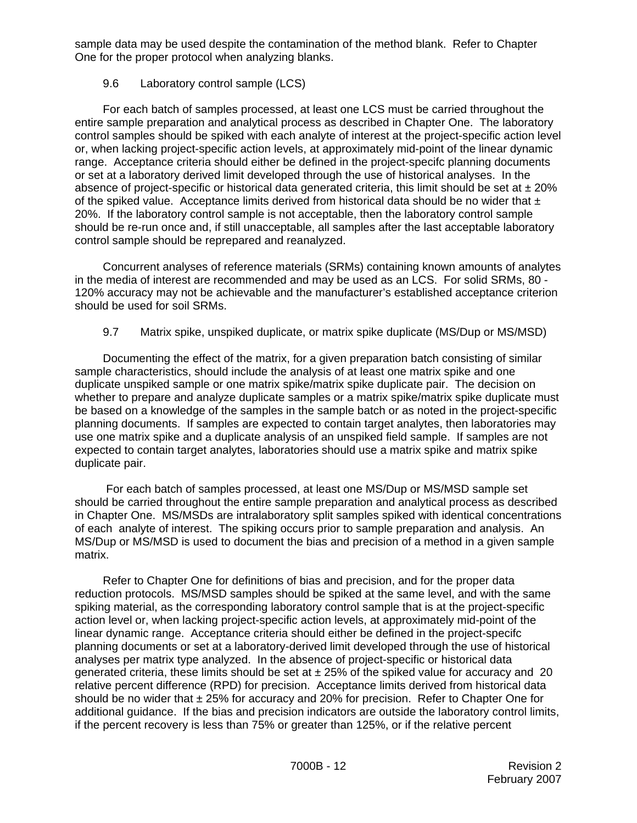sample data may be used despite the contamination of the method blank. Refer to Chapter One for the proper protocol when analyzing blanks.

## 9.6 Laboratory control sample (LCS)

For each batch of samples processed, at least one LCS must be carried throughout the entire sample preparation and analytical process as described in Chapter One. The laboratory control samples should be spiked with each analyte of interest at the project-specific action level or, when lacking project-specific action levels, at approximately mid-point of the linear dynamic range. Acceptance criteria should either be defined in the project-specifc planning documents or set at a laboratory derived limit developed through the use of historical analyses. In the absence of project-specific or historical data generated criteria, this limit should be set at  $\pm 20\%$ of the spiked value. Acceptance limits derived from historical data should be no wider that  $\pm$ 20%. If the laboratory control sample is not acceptable, then the laboratory control sample should be re-run once and, if still unacceptable, all samples after the last acceptable laboratory control sample should be reprepared and reanalyzed.

Concurrent analyses of reference materials (SRMs) containing known amounts of analytes in the media of interest are recommended and may be used as an LCS. For solid SRMs, 80 - 120% accuracy may not be achievable and the manufacturer's established acceptance criterion should be used for soil SRMs.

## 9.7 Matrix spike, unspiked duplicate, or matrix spike duplicate (MS/Dup or MS/MSD)

Documenting the effect of the matrix, for a given preparation batch consisting of similar sample characteristics, should include the analysis of at least one matrix spike and one duplicate unspiked sample or one matrix spike/matrix spike duplicate pair. The decision on whether to prepare and analyze duplicate samples or a matrix spike/matrix spike duplicate must be based on a knowledge of the samples in the sample batch or as noted in the project-specific planning documents. If samples are expected to contain target analytes, then laboratories may use one matrix spike and a duplicate analysis of an unspiked field sample. If samples are not expected to contain target analytes, laboratories should use a matrix spike and matrix spike duplicate pair.

 For each batch of samples processed, at least one MS/Dup or MS/MSD sample set should be carried throughout the entire sample preparation and analytical process as described in Chapter One. MS/MSDs are intralaboratory split samples spiked with identical concentrations of each analyte of interest. The spiking occurs prior to sample preparation and analysis. An MS/Dup or MS/MSD is used to document the bias and precision of a method in a given sample matrix.

Refer to Chapter One for definitions of bias and precision, and for the proper data reduction protocols. MS/MSD samples should be spiked at the same level, and with the same spiking material, as the corresponding laboratory control sample that is at the project-specific action level or, when lacking project-specific action levels, at approximately mid-point of the linear dynamic range. Acceptance criteria should either be defined in the project-specifc planning documents or set at a laboratory-derived limit developed through the use of historical analyses per matrix type analyzed. In the absence of project-specific or historical data generated criteria, these limits should be set at  $\pm 25%$  of the spiked value for accuracy and 20 relative percent difference (RPD) for precision. Acceptance limits derived from historical data should be no wider that  $\pm 25\%$  for accuracy and 20% for precision. Refer to Chapter One for additional guidance. If the bias and precision indicators are outside the laboratory control limits, if the percent recovery is less than 75% or greater than 125%, or if the relative percent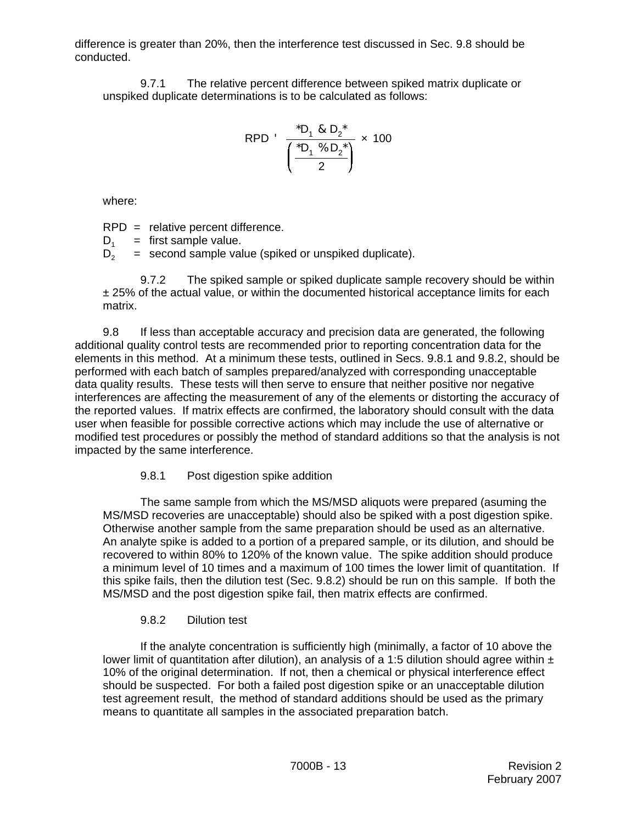difference is greater than 20%, then the interference test discussed in Sec. 9.8 should be conducted.

9.7.1 The relative percent difference between spiked matrix duplicate or unspiked duplicate determinations is to be calculated as follows:

RPD' 
$$
\frac{{}^{*}D_{1} & 8 D_{2} {}^{*}}{\left(\frac{{}^{*}D_{1} & 90 D_{2} {}^{*}}{2}\right)} \times 100
$$

where:

RPD = relative percent difference.

 $D_1$  = first sample value.<br> $D_2$  = second sample value.

 $=$  second sample value (spiked or unspiked duplicate).

9.7.2 The spiked sample or spiked duplicate sample recovery should be within ± 25% of the actual value, or within the documented historical acceptance limits for each matrix.

9.8 If less than acceptable accuracy and precision data are generated, the following additional quality control tests are recommended prior to reporting concentration data for the elements in this method. At a minimum these tests, outlined in Secs. 9.8.1 and 9.8.2, should be performed with each batch of samples prepared/analyzed with corresponding unacceptable data quality results. These tests will then serve to ensure that neither positive nor negative interferences are affecting the measurement of any of the elements or distorting the accuracy of the reported values. If matrix effects are confirmed, the laboratory should consult with the data user when feasible for possible corrective actions which may include the use of alternative or modified test procedures or possibly the method of standard additions so that the analysis is not impacted by the same interference.

# 9.8.1 Post digestion spike addition

The same sample from which the MS/MSD aliquots were prepared (asuming the MS/MSD recoveries are unacceptable) should also be spiked with a post digestion spike. Otherwise another sample from the same preparation should be used as an alternative. An analyte spike is added to a portion of a prepared sample, or its dilution, and should be recovered to within 80% to 120% of the known value. The spike addition should produce a minimum level of 10 times and a maximum of 100 times the lower limit of quantitation. If this spike fails, then the dilution test (Sec. 9.8.2) should be run on this sample. If both the MS/MSD and the post digestion spike fail, then matrix effects are confirmed.

# 9.8.2 Dilution test

If the analyte concentration is sufficiently high (minimally, a factor of 10 above the lower limit of quantitation after dilution), an analysis of a 1:5 dilution should agree within  $\pm$ 10% of the original determination. If not, then a chemical or physical interference effect should be suspected. For both a failed post digestion spike or an unacceptable dilution test agreement result, the method of standard additions should be used as the primary means to quantitate all samples in the associated preparation batch.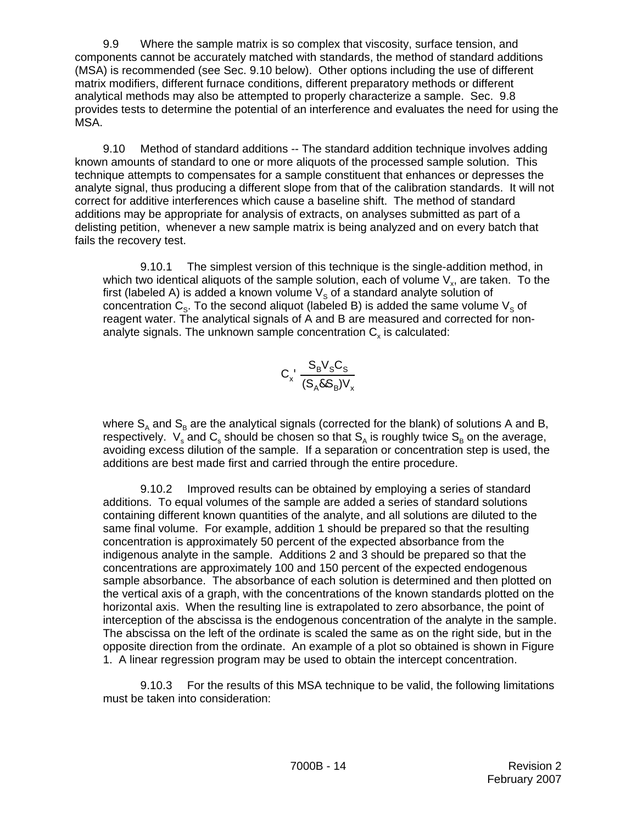9.9 Where the sample matrix is so complex that viscosity, surface tension, and components cannot be accurately matched with standards, the method of standard additions (MSA) is recommended (see Sec. 9.10 below). Other options including the use of different matrix modifiers, different furnace conditions, different preparatory methods or different analytical methods may also be attempted to properly characterize a sample. Sec. 9.8 provides tests to determine the potential of an interference and evaluates the need for using the MSA.

9.10 Method of standard additions -- The standard addition technique involves adding known amounts of standard to one or more aliquots of the processed sample solution. This technique attempts to compensates for a sample constituent that enhances or depresses the analyte signal, thus producing a different slope from that of the calibration standards. It will not correct for additive interferences which cause a baseline shift. The method of standard additions may be appropriate for analysis of extracts, on analyses submitted as part of a delisting petition, whenever a new sample matrix is being analyzed and on every batch that fails the recovery test.

9.10.1 The simplest version of this technique is the single-addition method, in which two identical aliquots of the sample solution, each of volume  $V_{x}$ , are taken. To the first (labeled A) is added a known volume  $V_s$  of a standard analyte solution of concentration  $C_s$ . To the second aliquot (labeled B) is added the same volume  $V_s$  of reagent water. The analytical signals of A and B are measured and corrected for nonanalyte signals. The unknown sample concentration  $C<sub>x</sub>$  is calculated:

$$
C_x \frac{S_B V_S C_S}{(S_A \& S_B) V_x}
$$

where  $S_A$  and  $S_B$  are the analytical signals (corrected for the blank) of solutions A and B, respectively.  $\ V_{\textrm{s}}$  and  ${\sf C}_{\textrm{s}}$  should be chosen so that  ${\sf S}_{\sf A}$  is roughly twice  ${\sf S}_{\sf B}$  on the average, avoiding excess dilution of the sample. If a separation or concentration step is used, the additions are best made first and carried through the entire procedure.

9.10.2 Improved results can be obtained by employing a series of standard additions. To equal volumes of the sample are added a series of standard solutions containing different known quantities of the analyte, and all solutions are diluted to the same final volume. For example, addition 1 should be prepared so that the resulting concentration is approximately 50 percent of the expected absorbance from the indigenous analyte in the sample. Additions 2 and 3 should be prepared so that the concentrations are approximately 100 and 150 percent of the expected endogenous sample absorbance. The absorbance of each solution is determined and then plotted on the vertical axis of a graph, with the concentrations of the known standards plotted on the horizontal axis. When the resulting line is extrapolated to zero absorbance, the point of interception of the abscissa is the endogenous concentration of the analyte in the sample. The abscissa on the left of the ordinate is scaled the same as on the right side, but in the opposite direction from the ordinate. An example of a plot so obtained is shown in Figure 1. A linear regression program may be used to obtain the intercept concentration.

9.10.3 For the results of this MSA technique to be valid, the following limitations must be taken into consideration: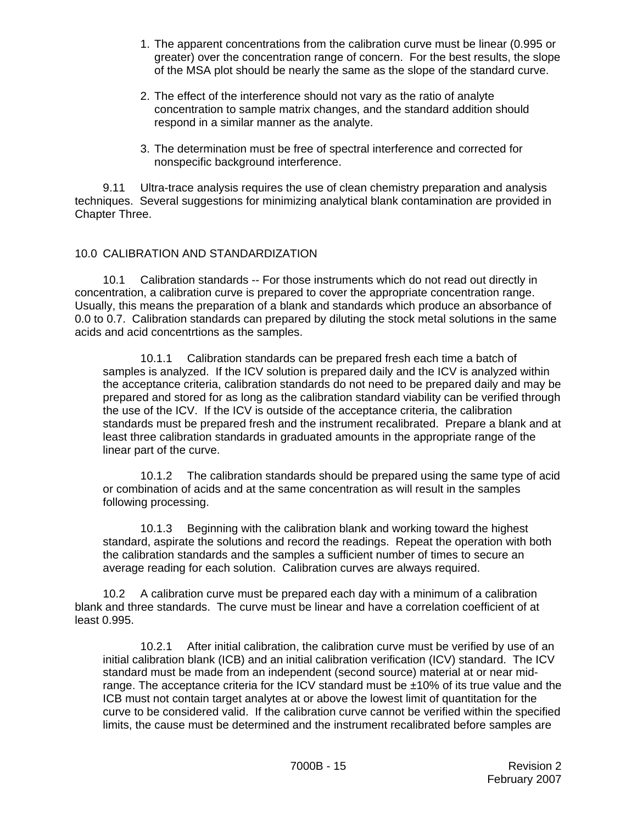- 1. The apparent concentrations from the calibration curve must be linear (0.995 or greater) over the concentration range of concern. For the best results, the slope of the MSA plot should be nearly the same as the slope of the standard curve.
- 2. The effect of the interference should not vary as the ratio of analyte concentration to sample matrix changes, and the standard addition should respond in a similar manner as the analyte.
- 3. The determination must be free of spectral interference and corrected for nonspecific background interference.

9.11 Ultra-trace analysis requires the use of clean chemistry preparation and analysis techniques. Several suggestions for minimizing analytical blank contamination are provided in Chapter Three.

#### 10.0 CALIBRATION AND STANDARDIZATION

10.1 Calibration standards -- For those instruments which do not read out directly in concentration, a calibration curve is prepared to cover the appropriate concentration range. Usually, this means the preparation of a blank and standards which produce an absorbance of 0.0 to 0.7. Calibration standards can prepared by diluting the stock metal solutions in the same acids and acid concentrtions as the samples.

10.1.1 Calibration standards can be prepared fresh each time a batch of samples is analyzed. If the ICV solution is prepared daily and the ICV is analyzed within the acceptance criteria, calibration standards do not need to be prepared daily and may be prepared and stored for as long as the calibration standard viability can be verified through the use of the ICV. If the ICV is outside of the acceptance criteria, the calibration standards must be prepared fresh and the instrument recalibrated. Prepare a blank and at least three calibration standards in graduated amounts in the appropriate range of the linear part of the curve.

10.1.2 The calibration standards should be prepared using the same type of acid or combination of acids and at the same concentration as will result in the samples following processing.

10.1.3 Beginning with the calibration blank and working toward the highest standard, aspirate the solutions and record the readings. Repeat the operation with both the calibration standards and the samples a sufficient number of times to secure an average reading for each solution. Calibration curves are always required.

10.2 A calibration curve must be prepared each day with a minimum of a calibration blank and three standards. The curve must be linear and have a correlation coefficient of at least 0.995.

10.2.1 After initial calibration, the calibration curve must be verified by use of an initial calibration blank (ICB) and an initial calibration verification (ICV) standard. The ICV standard must be made from an independent (second source) material at or near midrange. The acceptance criteria for the ICV standard must be ±10% of its true value and the ICB must not contain target analytes at or above the lowest limit of quantitation for the curve to be considered valid. If the calibration curve cannot be verified within the specified limits, the cause must be determined and the instrument recalibrated before samples are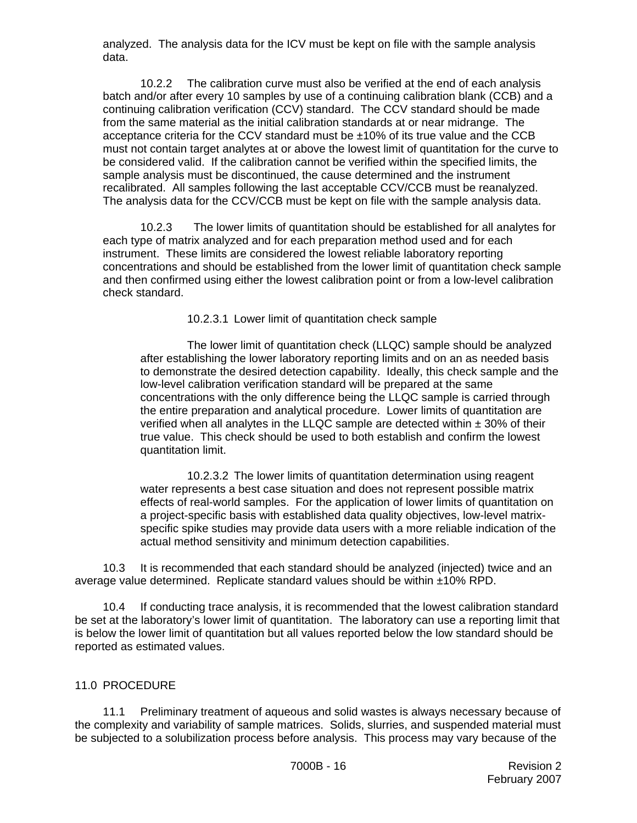analyzed. The analysis data for the ICV must be kept on file with the sample analysis data.

10.2.2 The calibration curve must also be verified at the end of each analysis batch and/or after every 10 samples by use of a continuing calibration blank (CCB) and a continuing calibration verification (CCV) standard. The CCV standard should be made from the same material as the initial calibration standards at or near midrange. The acceptance criteria for the CCV standard must be ±10% of its true value and the CCB must not contain target analytes at or above the lowest limit of quantitation for the curve to be considered valid. If the calibration cannot be verified within the specified limits, the sample analysis must be discontinued, the cause determined and the instrument recalibrated. All samples following the last acceptable CCV/CCB must be reanalyzed. The analysis data for the CCV/CCB must be kept on file with the sample analysis data.

10.2.3 The lower limits of quantitation should be established for all analytes for each type of matrix analyzed and for each preparation method used and for each instrument. These limits are considered the lowest reliable laboratory reporting concentrations and should be established from the lower limit of quantitation check sample and then confirmed using either the lowest calibration point or from a low-level calibration check standard.

10.2.3.1 Lower limit of quantitation check sample

The lower limit of quantitation check (LLQC) sample should be analyzed after establishing the lower laboratory reporting limits and on an as needed basis to demonstrate the desired detection capability. Ideally, this check sample and the low-level calibration verification standard will be prepared at the same concentrations with the only difference being the LLQC sample is carried through the entire preparation and analytical procedure. Lower limits of quantitation are verified when all analytes in the LLQC sample are detected within  $\pm$  30% of their true value. This check should be used to both establish and confirm the lowest quantitation limit.

10.2.3.2 The lower limits of quantitation determination using reagent water represents a best case situation and does not represent possible matrix effects of real-world samples. For the application of lower limits of quantitation on a project-specific basis with established data quality objectives, low-level matrixspecific spike studies may provide data users with a more reliable indication of the actual method sensitivity and minimum detection capabilities.

10.3 It is recommended that each standard should be analyzed (injected) twice and an average value determined. Replicate standard values should be within ±10% RPD.

10.4 If conducting trace analysis, it is recommended that the lowest calibration standard be set at the laboratory's lower limit of quantitation. The laboratory can use a reporting limit that is below the lower limit of quantitation but all values reported below the low standard should be reported as estimated values.

#### 11.0 PROCEDURE

11.1 Preliminary treatment of aqueous and solid wastes is always necessary because of the complexity and variability of sample matrices. Solids, slurries, and suspended material must be subjected to a solubilization process before analysis. This process may vary because of the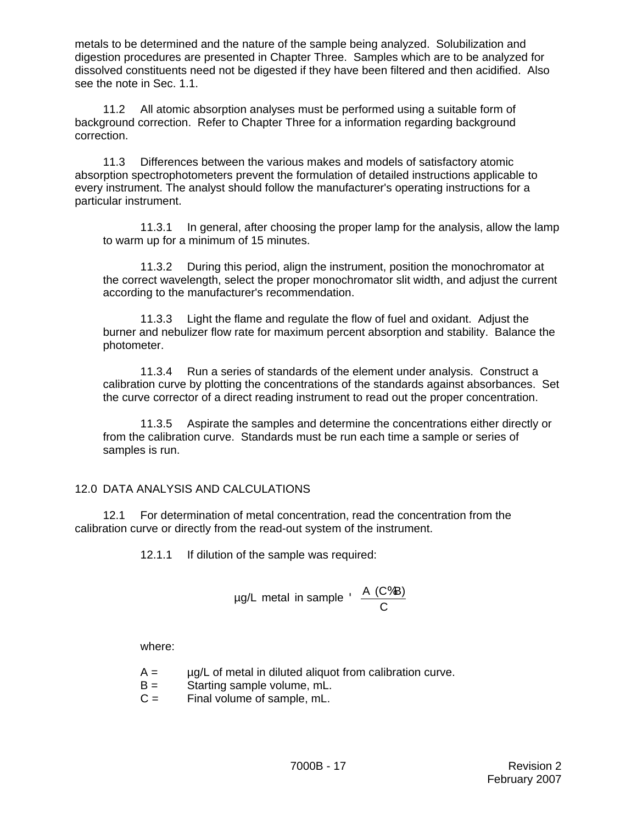metals to be determined and the nature of the sample being analyzed. Solubilization and digestion procedures are presented in Chapter Three. Samples which are to be analyzed for dissolved constituents need not be digested if they have been filtered and then acidified. Also see the note in Sec. 1.1.

11.2 All atomic absorption analyses must be performed using a suitable form of background correction. Refer to Chapter Three for a information regarding background correction.

11.3 Differences between the various makes and models of satisfactory atomic absorption spectrophotometers prevent the formulation of detailed instructions applicable to every instrument. The analyst should follow the manufacturer's operating instructions for a particular instrument.

11.3.1 In general, after choosing the proper lamp for the analysis, allow the lamp to warm up for a minimum of 15 minutes.

11.3.2 During this period, align the instrument, position the monochromator at the correct wavelength, select the proper monochromator slit width, and adjust the current according to the manufacturer's recommendation.

11.3.3 Light the flame and regulate the flow of fuel and oxidant. Adjust the burner and nebulizer flow rate for maximum percent absorption and stability. Balance the photometer.

11.3.4 Run a series of standards of the element under analysis. Construct a calibration curve by plotting the concentrations of the standards against absorbances. Set the curve corrector of a direct reading instrument to read out the proper concentration.

11.3.5 Aspirate the samples and determine the concentrations either directly or from the calibration curve. Standards must be run each time a sample or series of samples is run.

## 12.0 DATA ANALYSIS AND CALCULATIONS

12.1 For determination of metal concentration, read the concentration from the calibration curve or directly from the read-out system of the instrument.

12.1.1 If dilution of the sample was required:

$$
\mu g/L \text{ metal in sample} \cdot \frac{A (C\%B)}{C}
$$

where:

- $A = \mu g/L$  of metal in diluted aliquot from calibration curve.
- B = Starting sample volume, mL.
- $C =$  Final volume of sample, mL.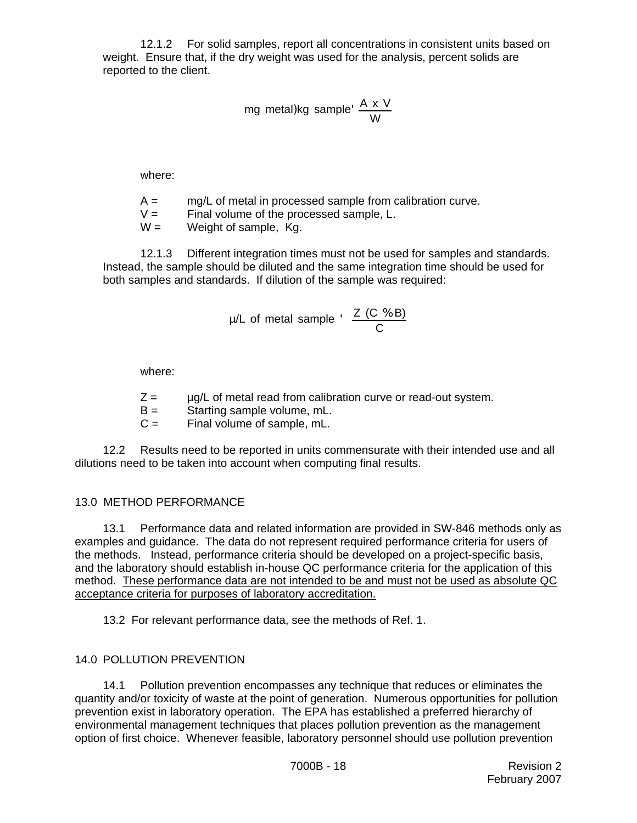12.1.2 For solid samples, report all concentrations in consistent units based on weight. Ensure that, if the dry weight was used for the analysis, percent solids are reported to the client.

$$
\text{mg metal)kg sample'} \frac{A \times V}{W}
$$

where:

- $A = \frac{mg}{L}$  of metal in processed sample from calibration curve.
- $V =$  Final volume of the processed sample, L.

 $W =$  Weight of sample, Kg.

12.1.3 Different integration times must not be used for samples and standards. Instead, the sample should be diluted and the same integration time should be used for both samples and standards. If dilution of the sample was required:

$$
\mu/L \text{ of metal sample } \cdot \frac{Z (C \text{ % } B)}{C}
$$

where:

- $Z = \mu g/L$  of metal read from calibration curve or read-out system.
- B = Starting sample volume, mL.
- $C =$  Final volume of sample, mL.

12.2 Results need to be reported in units commensurate with their intended use and all dilutions need to be taken into account when computing final results.

## 13.0 METHOD PERFORMANCE

13.1 Performance data and related information are provided in SW-846 methods only as examples and guidance. The data do not represent required performance criteria for users of the methods. Instead, performance criteria should be developed on a project-specific basis, and the laboratory should establish in-house QC performance criteria for the application of this method. These performance data are not intended to be and must not be used as absolute QC acceptance criteria for purposes of laboratory accreditation.

13.2 For relevant performance data, see the methods of Ref. 1.

## 14.0 POLLUTION PREVENTION

14.1 Pollution prevention encompasses any technique that reduces or eliminates the quantity and/or toxicity of waste at the point of generation. Numerous opportunities for pollution prevention exist in laboratory operation. The EPA has established a preferred hierarchy of environmental management techniques that places pollution prevention as the management option of first choice. Whenever feasible, laboratory personnel should use pollution prevention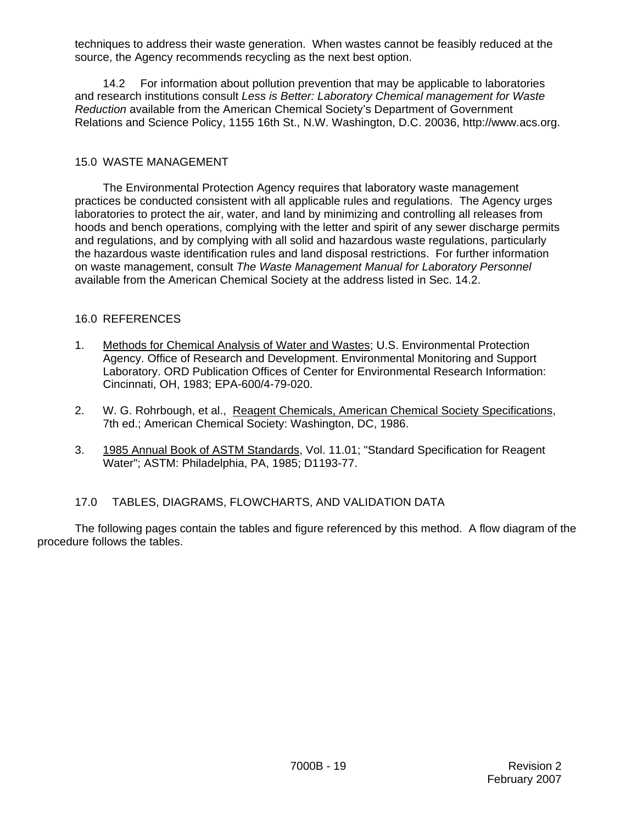techniques to address their waste generation. When wastes cannot be feasibly reduced at the source, the Agency recommends recycling as the next best option.

14.2 For information about pollution prevention that may be applicable to laboratories and research institutions consult *Less is Better: Laboratory Chemical management for Waste Reduction* available from the American Chemical Society's Department of Government Relations and Science Policy, 1155 16th St., N.W. Washington, D.C. 20036, http://www.acs.org.

#### 15.0 WASTE MANAGEMENT

The Environmental Protection Agency requires that laboratory waste management practices be conducted consistent with all applicable rules and regulations. The Agency urges laboratories to protect the air, water, and land by minimizing and controlling all releases from hoods and bench operations, complying with the letter and spirit of any sewer discharge permits and regulations, and by complying with all solid and hazardous waste regulations, particularly the hazardous waste identification rules and land disposal restrictions. For further information on waste management, consult *The Waste Management Manual for Laboratory Personnel* available from the American Chemical Society at the address listed in Sec. 14.2.

#### 16.0 REFERENCES

- 1. Methods for Chemical Analysis of Water and Wastes; U.S. Environmental Protection Agency. Office of Research and Development. Environmental Monitoring and Support Laboratory. ORD Publication Offices of Center for Environmental Research Information: Cincinnati, OH, 1983; EPA-600/4-79-020.
- 2. W. G. Rohrbough, et al., Reagent Chemicals, American Chemical Society Specifications, 7th ed.; American Chemical Society: Washington, DC, 1986.
- 3. 1985 Annual Book of ASTM Standards, Vol. 11.01; "Standard Specification for Reagent Water"; ASTM: Philadelphia, PA, 1985; D1193-77.

## 17.0 TABLES, DIAGRAMS, FLOWCHARTS, AND VALIDATION DATA

The following pages contain the tables and figure referenced by this method. A flow diagram of the procedure follows the tables.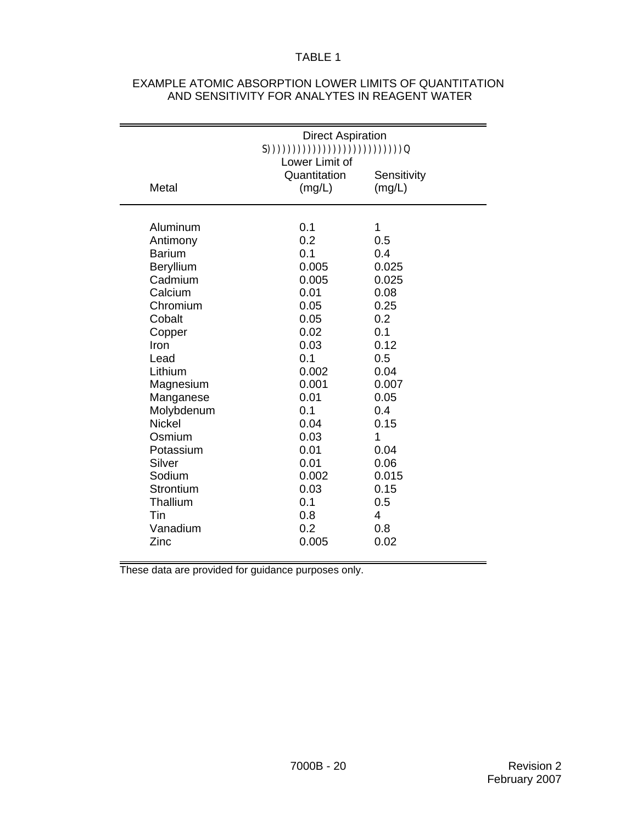# TABLE 1

|               | <b>Direct Aspiration</b><br>S(1)(1)(1)(1)(1)(1)(1)(1)(1)(1)(1)(1)<br>Lower Limit of |                       |  |  |
|---------------|-------------------------------------------------------------------------------------|-----------------------|--|--|
| Metal         | Quantitation<br>(mg/L)                                                              | Sensitivity<br>(mg/L) |  |  |
| Aluminum      | 0.1                                                                                 | 1                     |  |  |
| Antimony      | 0.2                                                                                 | 0.5                   |  |  |
| <b>Barium</b> | 0.1                                                                                 | 0.4                   |  |  |
| Beryllium     | 0.005                                                                               | 0.025                 |  |  |
| Cadmium       | 0.005                                                                               | 0.025                 |  |  |
| Calcium       | 0.01                                                                                | 0.08                  |  |  |
| Chromium      | 0.05                                                                                | 0.25                  |  |  |
| Cobalt        | 0.05                                                                                | 0.2                   |  |  |
| Copper        | 0.02                                                                                | 0.1                   |  |  |
| Iron          | 0.03                                                                                | 0.12                  |  |  |
| Lead          | 0.1                                                                                 | 0.5                   |  |  |
| Lithium       | 0.002                                                                               | 0.04                  |  |  |
| Magnesium     | 0.001                                                                               | 0.007                 |  |  |
| Manganese     | 0.01                                                                                | 0.05                  |  |  |
| Molybdenum    | 0.1                                                                                 | 0.4                   |  |  |
| <b>Nickel</b> | 0.04                                                                                | 0.15                  |  |  |
| Osmium        | 0.03                                                                                | 1                     |  |  |
| Potassium     | 0.01                                                                                | 0.04                  |  |  |
| Silver        | 0.01                                                                                | 0.06                  |  |  |
| Sodium        | 0.002                                                                               | 0.015                 |  |  |
| Strontium     | 0.03                                                                                | 0.15                  |  |  |
| Thallium      | 0.1                                                                                 | 0.5                   |  |  |
| Tin           | 0.8                                                                                 | 4                     |  |  |
| Vanadium      | 0.2                                                                                 | 0.8                   |  |  |
| Zinc          | 0.005                                                                               | 0.02                  |  |  |

#### EXAMPLE ATOMIC ABSORPTION LOWER LIMITS OF QUANTITATION AND SENSITIVITY FOR ANALYTES IN REAGENT WATER

These data are provided for guidance purposes only.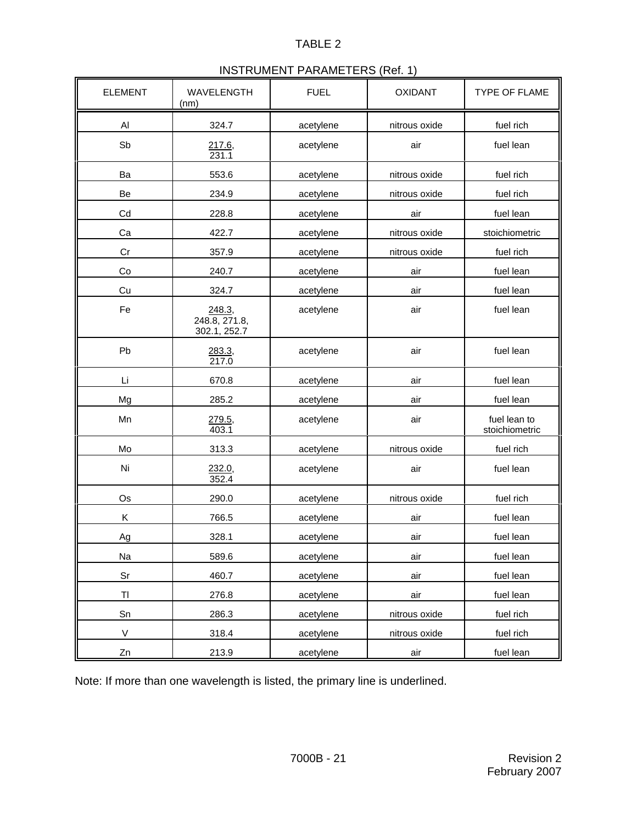# TABLE 2

# INSTRUMENT PARAMETERS (Ref. 1)

| <b>ELEMENT</b> | WAVELENGTH<br>(nm)                      | <b>FUEL</b> | <b>OXIDANT</b> | <b>TYPE OF FLAME</b>           |
|----------------|-----------------------------------------|-------------|----------------|--------------------------------|
| Al             | 324.7                                   | acetylene   | nitrous oxide  | fuel rich                      |
| Sb             | $\frac{217.6}{231.1}$                   | acetylene   | air            | fuel lean                      |
| Ba             | 553.6                                   | acetylene   | nitrous oxide  | fuel rich                      |
| Be             | 234.9                                   | acetylene   | nitrous oxide  | fuel rich                      |
| Cd             | 228.8                                   | acetylene   | air            | fuel lean                      |
| Ca             | 422.7                                   | acetylene   | nitrous oxide  | stoichiometric                 |
| Cr             | 357.9                                   | acetylene   | nitrous oxide  | fuel rich                      |
| Co             | 240.7                                   | acetylene   | air            | fuel lean                      |
| Cu             | 324.7                                   | acetylene   | air            | fuel lean                      |
| Fe             | 248.3,<br>248.8, 271.8,<br>302.1, 252.7 | acetylene   | air            | fuel lean                      |
| Pb             | 283.3,<br>217.0                         | acetylene   | air            | fuel lean                      |
| Li             | 670.8                                   | acetylene   | air            | fuel lean                      |
| Mg             | 285.2                                   | acetylene   | air            | fuel lean                      |
| Mn             | 279.5,<br>403.1                         | acetylene   | air            | fuel lean to<br>stoichiometric |
| Mo             | 313.3                                   | acetylene   | nitrous oxide  | fuel rich                      |
| Ni             | 232.0,<br>352.4                         | acetylene   | air            | fuel lean                      |
| Os             | 290.0                                   | acetylene   | nitrous oxide  | fuel rich                      |
| Κ              | 766.5                                   | acetylene   | air            | fuel lean                      |
| Ag             | 328.1                                   | acetylene   | air            | fuel lean                      |
| Na             | 589.6                                   | acetylene   | air            | fuel lean                      |
| Sr             | 460.7                                   | acetylene   | air            | fuel lean                      |
| TI             | 276.8                                   | acetylene   | air            | fuel lean                      |
| Sn             | 286.3                                   | acetylene   | nitrous oxide  | fuel rich                      |
| $\mathsf{V}$   | 318.4                                   | acetylene   | nitrous oxide  | fuel rich                      |
| Zn             | 213.9                                   | acetylene   | air            | fuel lean                      |

Note: If more than one wavelength is listed, the primary line is underlined.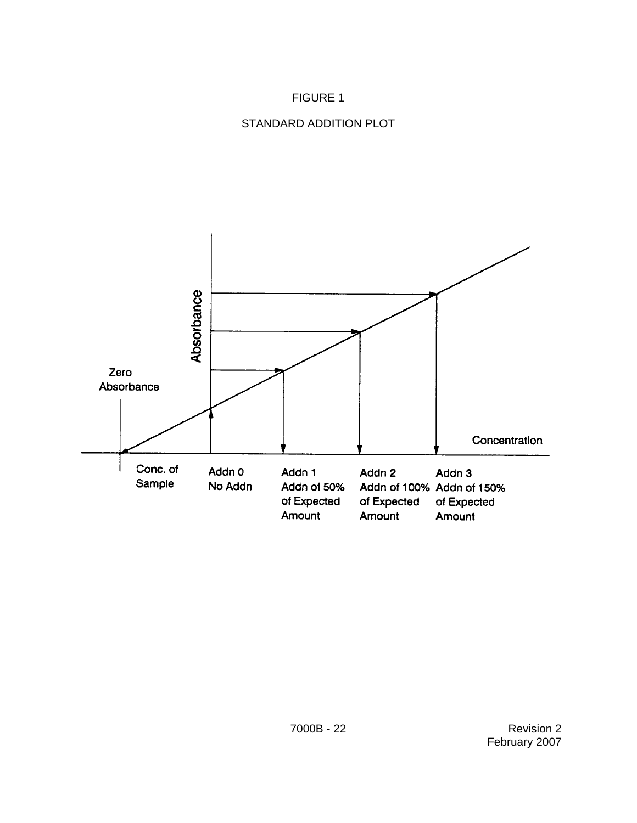# FIGURE 1